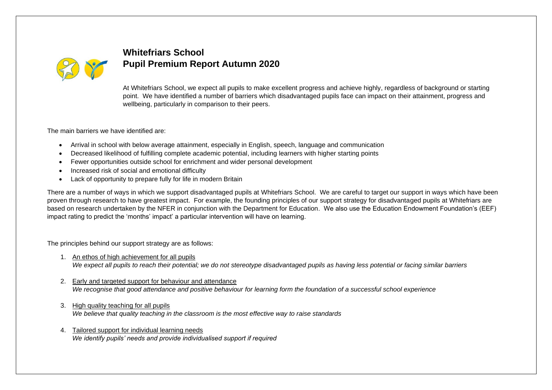

## **Whitefriars School Pupil Premium Report Autumn 2020**

At Whitefriars School, we expect all pupils to make excellent progress and achieve highly, regardless of background or starting point. We have identified a number of barriers which disadvantaged pupils face can impact on their attainment, progress and wellbeing, particularly in comparison to their peers.

The main barriers we have identified are:

- Arrival in school with below average attainment, especially in English, speech, language and communication
- Decreased likelihood of fulfilling complete academic potential, including learners with higher starting points
- Fewer opportunities outside school for enrichment and wider personal development
- Increased risk of social and emotional difficulty
- Lack of opportunity to prepare fully for life in modern Britain

There are a number of ways in which we support disadvantaged pupils at Whitefriars School. We are careful to target our support in ways which have been proven through research to have greatest impact. For example, the founding principles of our support strategy for disadvantaged pupils at Whitefriars are based on research undertaken by the NFER in conjunction with the Department for Education. We also use the Education Endowment Foundation's (EEF) impact rating to predict the 'months' impact' a particular intervention will have on learning.

The principles behind our support strategy are as follows:

- 1. An ethos of high achievement for all pupils *We expect all pupils to reach their potential; we do not stereotype disadvantaged pupils as having less potential or facing similar barriers*
- 2. Early and targeted support for behaviour and attendance *We recognise that good attendance and positive behaviour for learning form the foundation of a successful school experience*
- 3. High quality teaching for all pupils *We believe that quality teaching in the classroom is the most effective way to raise standards*
- 4. Tailored support for individual learning needs *We identify pupils' needs and provide individualised support if required*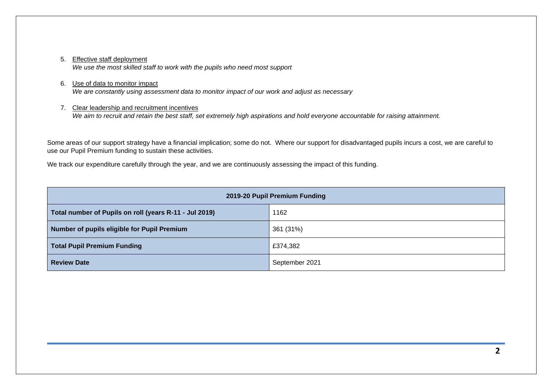#### 5. Effective staff deployment

*We use the most skilled staff to work with the pupils who need most support*

#### 6. Use of data to monitor impact

*We are constantly using assessment data to monitor impact of our work and adjust as necessary*

#### 7. Clear leadership and recruitment incentives

*We aim to recruit and retain the best staff, set extremely high aspirations and hold everyone accountable for raising attainment.*

Some areas of our support strategy have a financial implication; some do not. Where our support for disadvantaged pupils incurs a cost, we are careful to use our Pupil Premium funding to sustain these activities.

We track our expenditure carefully through the year, and we are continuously assessing the impact of this funding.

| 2019-20 Pupil Premium Funding                          |                |  |  |  |
|--------------------------------------------------------|----------------|--|--|--|
| Total number of Pupils on roll (years R-11 - Jul 2019) | 1162           |  |  |  |
| Number of pupils eligible for Pupil Premium            | 361 (31%)      |  |  |  |
| <b>Total Pupil Premium Funding</b>                     | £374,382       |  |  |  |
| <b>Review Date</b>                                     | September 2021 |  |  |  |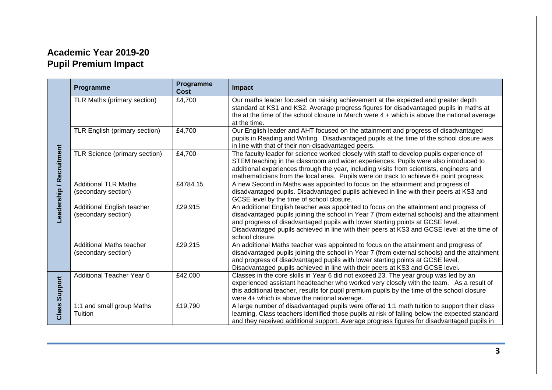# **Academic Year 2019-20 Pupil Premium Impact**

|                         | Programme                                              | Programme<br><b>Cost</b> | <b>Impact</b>                                                                                                                                                                                                                                                                                                                                                                              |
|-------------------------|--------------------------------------------------------|--------------------------|--------------------------------------------------------------------------------------------------------------------------------------------------------------------------------------------------------------------------------------------------------------------------------------------------------------------------------------------------------------------------------------------|
| eadership / Recruitment | TLR Maths (primary section)                            | £4,700                   | Our maths leader focused on raising achievement at the expected and greater depth<br>standard at KS1 and KS2. Average progress figures for disadvantaged pupils in maths at<br>the at the time of the school closure in March were $4 +$ which is above the national average<br>at the time.                                                                                               |
|                         | TLR English (primary section)                          | £4,700                   | Our English leader and AHT focused on the attainment and progress of disadvantaged<br>pupils in Reading and Writing. Disadvantaged pupils at the time of the school closure was<br>in line with that of their non-disadvantaged peers.                                                                                                                                                     |
|                         | TLR Science (primary section)                          | £4,700                   | The faculty leader for science worked closely with staff to develop pupils experience of<br>STEM teaching in the classroom and wider experiences. Pupils were also introduced to<br>additional experiences through the year, including visits from scientists, engineers and<br>mathematicians from the local area. Pupils were on track to achieve 6+ point progress.                     |
|                         | <b>Additional TLR Maths</b><br>(secondary section)     | £4784.15                 | A new Second in Maths was appointed to focus on the attainment and progress of<br>disadvantaged pupils. Disadvantaged pupils achieved in line with their peers at KS3 and<br>GCSE level by the time of school closure.                                                                                                                                                                     |
|                         | Additional English teacher<br>(secondary section)      | £29,915                  | An additional English teacher was appointed to focus on the attainment and progress of<br>disadvantaged pupils joining the school in Year 7 (from external schools) and the attainment<br>and progress of disadvantaged pupils with lower starting points at GCSE level.<br>Disadvantaged pupils achieved in line with their peers at KS3 and GCSE level at the time of<br>school closure. |
|                         | <b>Additional Maths teacher</b><br>(secondary section) | £29,215                  | An additional Maths teacher was appointed to focus on the attainment and progress of<br>disadvantaged pupils joining the school in Year 7 (from external schools) and the attainment<br>and progress of disadvantaged pupils with lower starting points at GCSE level.<br>Disadvantaged pupils achieved in line with their peers at KS3 and GCSE level.                                    |
| Support<br>Class        | <b>Additional Teacher Year 6</b>                       | £42,000                  | Classes in the core skills in Year 6 did not exceed 23. The year group was led by an<br>experienced assistant headteacher who worked very closely with the team. As a result of<br>this additional teacher, results for pupil premium pupils by the time of the school closure<br>were 4+ which is above the national average.                                                             |
|                         | 1:1 and small group Maths<br>Tuition                   | £19,790                  | A large number of disadvantaged pupils were offered 1:1 math tuition to support their class<br>learning. Class teachers identified those pupils at risk of falling below the expected standard<br>and they received additional support. Average progress figures for disadvantaged pupils in                                                                                               |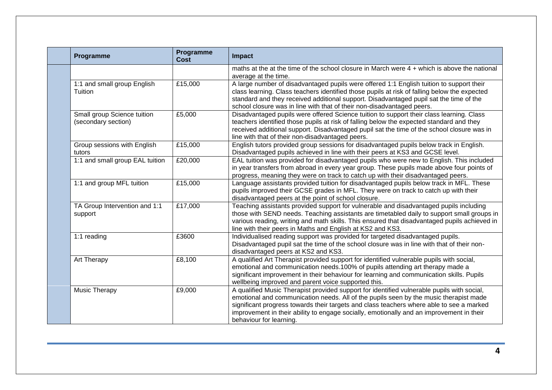| Programme                                          | Programme<br><b>Cost</b> | <b>Impact</b>                                                                                                                                                                                                                                                                                                                                                                                          |
|----------------------------------------------------|--------------------------|--------------------------------------------------------------------------------------------------------------------------------------------------------------------------------------------------------------------------------------------------------------------------------------------------------------------------------------------------------------------------------------------------------|
|                                                    |                          | maths at the at the time of the school closure in March were 4 + which is above the national<br>average at the time.                                                                                                                                                                                                                                                                                   |
| 1:1 and small group English<br>Tuition             | £15,000                  | A large number of disadvantaged pupils were offered 1:1 English tuition to support their<br>class learning. Class teachers identified those pupils at risk of falling below the expected<br>standard and they received additional support. Disadvantaged pupil sat the time of the<br>school closure was in line with that of their non-disadvantaged peers.                                           |
| Small group Science tuition<br>(secondary section) | £5,000                   | Disadvantaged pupils were offered Science tuition to support their class learning. Class<br>teachers identified those pupils at risk of falling below the expected standard and they<br>received additional support. Disadvantaged pupil sat the time of the school closure was in<br>line with that of their non-disadvantaged peers.                                                                 |
| Group sessions with English<br>tutors              | £15,000                  | English tutors provided group sessions for disadvantaged pupils below track in English.<br>Disadvantaged pupils achieved in line with their peers at KS3 and GCSE level.                                                                                                                                                                                                                               |
| 1:1 and small group EAL tuition                    | £20,000                  | EAL tuition was provided for disadvantaged pupils who were new to English. This included<br>in year transfers from abroad in every year group. These pupils made above four points of<br>progress, meaning they were on track to catch up with their disadvantaged peers.                                                                                                                              |
| 1:1 and group MFL tuition                          | £15,000                  | Language assistants provided tuition for disadvantaged pupils below track in MFL. These<br>pupils improved their GCSE grades in MFL. They were on track to catch up with their<br>disadvantaged peers at the point of school closure.                                                                                                                                                                  |
| TA Group Intervention and 1:1<br>support           | £17,000                  | Teaching assistants provided support for vulnerable and disadvantaged pupils including<br>those with SEND needs. Teaching assistants are timetabled daily to support small groups in<br>various reading, writing and math skills. This ensured that disadvantaged pupils achieved in<br>line with their peers in Maths and English at KS2 and KS3.                                                     |
| 1:1 reading                                        | £3600                    | Individualised reading support was provided for targeted disadvantaged pupils.<br>Disadvantaged pupil sat the time of the school closure was in line with that of their non-<br>disadvantaged peers at KS2 and KS3.                                                                                                                                                                                    |
| Art Therapy                                        | £8,100                   | A qualified Art Therapist provided support for identified vulnerable pupils with social,<br>emotional and communication needs.100% of pupils attending art therapy made a<br>significant improvement in their behaviour for learning and communication skills. Pupils<br>wellbeing improved and parent voice supported this.                                                                           |
| <b>Music Therapy</b>                               | £9,000                   | A qualified Music Therapist provided support for identified vulnerable pupils with social,<br>emotional and communication needs. All of the pupils seen by the music therapist made<br>significant progress towards their targets and class teachers where able to see a marked<br>improvement in their ability to engage socially, emotionally and an improvement in their<br>behaviour for learning. |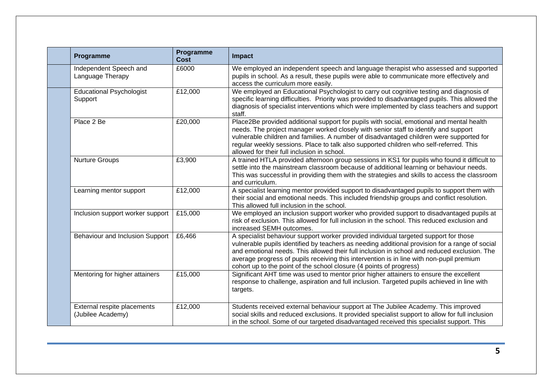| Programme                                        | Programme<br><b>Cost</b> | <b>Impact</b>                                                                                                                                                                                                                                                                                                                                                                                                                                            |
|--------------------------------------------------|--------------------------|----------------------------------------------------------------------------------------------------------------------------------------------------------------------------------------------------------------------------------------------------------------------------------------------------------------------------------------------------------------------------------------------------------------------------------------------------------|
| Independent Speech and<br>Language Therapy       | £6000                    | We employed an independent speech and language therapist who assessed and supported<br>pupils in school. As a result, these pupils were able to communicate more effectively and<br>access the curriculum more easily.                                                                                                                                                                                                                                   |
| <b>Educational Psychologist</b><br>Support       | £12,000                  | We employed an Educational Psychologist to carry out cognitive testing and diagnosis of<br>specific learning difficulties. Priority was provided to disadvantaged pupils. This allowed the<br>diagnosis of specialist interventions which were implemented by class teachers and support<br>staff.                                                                                                                                                       |
| Place 2 Be                                       | £20,000                  | Place2Be provided additional support for pupils with social, emotional and mental health<br>needs. The project manager worked closely with senior staff to identify and support<br>vulnerable children and families. A number of disadvantaged children were supported for<br>regular weekly sessions. Place to talk also supported children who self-referred. This<br>allowed for their full inclusion in school.                                      |
| <b>Nurture Groups</b>                            | £3,900                   | A trained HTLA provided afternoon group sessions in KS1 for pupils who found it difficult to<br>settle into the mainstream classroom because of additional learning or behaviour needs.<br>This was successful in providing them with the strategies and skills to access the classroom<br>and curriculum.                                                                                                                                               |
| Learning mentor support                          | £12,000                  | A specialist learning mentor provided support to disadvantaged pupils to support them with<br>their social and emotional needs. This included friendship groups and conflict resolution.<br>This allowed full inclusion in the school.                                                                                                                                                                                                                   |
| Inclusion support worker support                 | £15,000                  | We employed an inclusion support worker who provided support to disadvantaged pupils at<br>risk of exclusion. This allowed for full inclusion in the school. This reduced exclusion and<br>increased SEMH outcomes.                                                                                                                                                                                                                                      |
| <b>Behaviour and Inclusion Support</b>           | £6,466                   | A specialist behaviour support worker provided individual targeted support for those<br>vulnerable pupils identified by teachers as needing additional provision for a range of social<br>and emotional needs. This allowed their full inclusion in school and reduced exclusion. The<br>average progress of pupils receiving this intervention is in line with non-pupil premium<br>cohort up to the point of the school closure (4 points of progress) |
| Mentoring for higher attainers                   | £15,000                  | Significant AHT time was used to mentor prior higher attainers to ensure the excellent<br>response to challenge, aspiration and full inclusion. Targeted pupils achieved in line with<br>targets.                                                                                                                                                                                                                                                        |
| External respite placements<br>(Jubilee Academy) | £12,000                  | Students received external behaviour support at The Jubilee Academy. This improved<br>social skills and reduced exclusions. It provided specialist support to allow for full inclusion<br>in the school. Some of our targeted disadvantaged received this specialist support. This                                                                                                                                                                       |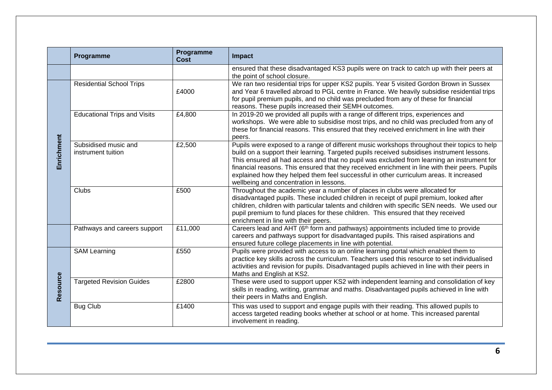|            | Programme                                            | Programme<br><b>Cost</b> | <b>Impact</b>                                                                                                                                                                                                                                                                                                                                                                                                                                                                                                                  |  |
|------------|------------------------------------------------------|--------------------------|--------------------------------------------------------------------------------------------------------------------------------------------------------------------------------------------------------------------------------------------------------------------------------------------------------------------------------------------------------------------------------------------------------------------------------------------------------------------------------------------------------------------------------|--|
|            |                                                      |                          | ensured that these disadvantaged KS3 pupils were on track to catch up with their peers at<br>the point of school closure.                                                                                                                                                                                                                                                                                                                                                                                                      |  |
|            | <b>Residential School Trips</b>                      | £4000                    | We ran two residential trips for upper KS2 pupils. Year 5 visited Gordon Brown in Sussex<br>and Year 6 travelled abroad to PGL centre in France. We heavily subsidise residential trips<br>for pupil premium pupils, and no child was precluded from any of these for financial<br>reasons. These pupils increased their SEMH outcomes.                                                                                                                                                                                        |  |
| Enrichment | <b>Educational Trips and Visits</b>                  | £4,800                   | In 2019-20 we provided all pupils with a range of different trips, experiences and<br>workshops. We were able to subsidise most trips, and no child was precluded from any of<br>these for financial reasons. This ensured that they received enrichment in line with their<br>peers.                                                                                                                                                                                                                                          |  |
|            | Subsidised music and<br>£2,500<br>instrument tuition |                          | Pupils were exposed to a range of different music workshops throughout their topics to help<br>build on a support their learning. Targeted pupils received subsidises instrument lessons.<br>This ensured all had access and that no pupil was excluded from learning an instrument for<br>financial reasons. This ensured that they received enrichment in line with their peers. Pupils<br>explained how they helped them feel successful in other curriculum areas. It increased<br>wellbeing and concentration in lessons. |  |
|            | Clubs                                                | £500                     | Throughout the academic year a number of places in clubs were allocated for<br>disadvantaged pupils. These included children in receipt of pupil premium, looked after<br>children, children with particular talents and children with specific SEN needs. We used our<br>pupil premium to fund places for these children. This ensured that they received<br>enrichment in line with their peers.                                                                                                                             |  |
|            | Pathways and careers support                         | £11,000                  | Careers lead and AHT (6th form and pathways) appointments included time to provide<br>careers and pathways support for disadvantaged pupils. This raised aspirations and<br>ensured future college placements in line with potential.                                                                                                                                                                                                                                                                                          |  |
|            | <b>SAM Learning</b>                                  | £550                     | Pupils were provided with access to an online learning portal which enabled them to<br>practice key skills across the curriculum. Teachers used this resource to set individualised<br>activities and revision for pupils. Disadvantaged pupils achieved in line with their peers in<br>Maths and English at KS2.                                                                                                                                                                                                              |  |
| Resource   | <b>Targeted Revision Guides</b>                      | £2800                    | These were used to support upper KS2 with independent learning and consolidation of key<br>skills in reading, writing, grammar and maths. Disadvantaged pupils achieved in line with<br>their peers in Maths and English.                                                                                                                                                                                                                                                                                                      |  |
|            | <b>Bug Club</b>                                      | £1400                    | This was used to support and engage pupils with their reading. This allowed pupils to<br>access targeted reading books whether at school or at home. This increased parental<br>involvement in reading.                                                                                                                                                                                                                                                                                                                        |  |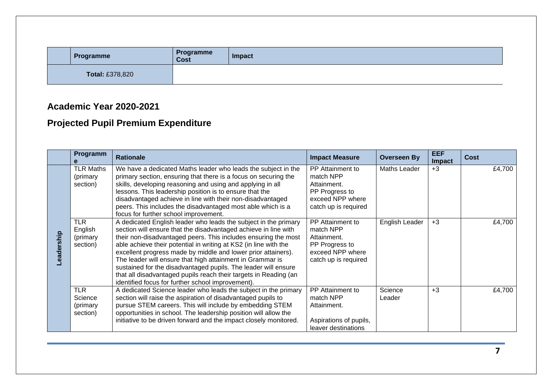| Programme              |  | Programme<br><b>Cost</b> | Impact |
|------------------------|--|--------------------------|--------|
| <b>Total: £378,820</b> |  |                          |        |

### **Academic Year 2020-2021**

# **Projected Pupil Premium Expenditure**

|            | Programm                                      | <b>Rationale</b>                                                                                                                                                                                                                                                                                                                                                                                                                                                                                                                                                                                  | <b>Impact Measure</b>                                                                                      | <b>Overseen By</b> | <b>EEF</b><br>Impact | <b>Cost</b> |
|------------|-----------------------------------------------|---------------------------------------------------------------------------------------------------------------------------------------------------------------------------------------------------------------------------------------------------------------------------------------------------------------------------------------------------------------------------------------------------------------------------------------------------------------------------------------------------------------------------------------------------------------------------------------------------|------------------------------------------------------------------------------------------------------------|--------------------|----------------------|-------------|
| Leadership | <b>TLR Maths</b><br>(primary<br>section)      | We have a dedicated Maths leader who leads the subject in the<br>primary section, ensuring that there is a focus on securing the<br>skills, developing reasoning and using and applying in all<br>lessons. This leadership position is to ensure that the<br>disadvantaged achieve in line with their non-disadvantaged<br>peers. This includes the disadvantaged most able which is a<br>focus for further school improvement.                                                                                                                                                                   | PP Attainment to<br>match NPP<br>Attainment.<br>PP Progress to<br>exceed NPP where<br>catch up is required | Maths Leader       | $+3$                 | £4,700      |
|            | <b>TLR</b><br>English<br>(primary<br>section) | A dedicated English leader who leads the subject in the primary<br>section will ensure that the disadvantaged achieve in line with<br>their non-disadvantaged peers. This includes ensuring the most<br>able achieve their potential in writing at KS2 (in line with the<br>excellent progress made by middle and lower prior attainers).<br>The leader will ensure that high attainment in Grammar is<br>sustained for the disadvantaged pupils. The leader will ensure<br>that all disadvantaged pupils reach their targets in Reading (an<br>identified focus for further school improvement). | PP Attainment to<br>match NPP<br>Attainment.<br>PP Progress to<br>exceed NPP where<br>catch up is required | English Leader     | $+3$                 | £4,700      |
|            | <b>TLR</b><br>Science<br>(primary<br>section) | A dedicated Science leader who leads the subject in the primary<br>section will raise the aspiration of disadvantaged pupils to<br>pursue STEM careers. This will include by embedding STEM<br>opportunities in school. The leadership position will allow the<br>initiative to be driven forward and the impact closely monitored.                                                                                                                                                                                                                                                               | PP Attainment to<br>match NPP<br>Attainment.<br>Aspirations of pupils,<br>leaver destinations              | Science<br>Leader  | $+3$                 | £4,700      |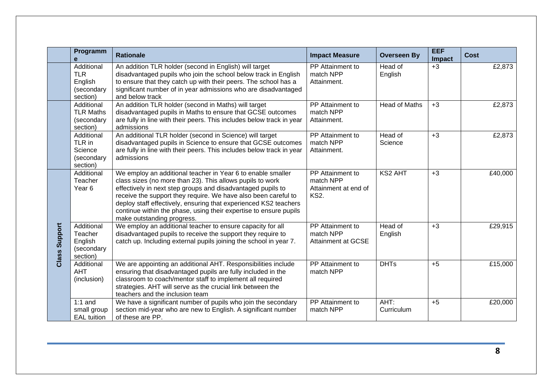|                  | Programm<br>e                                                 | <b>Rationale</b>                                                                                                                                                                                                                                                                                                                                                                                                                 | <b>Impact Measure</b>                                                | <b>Overseen By</b>   | <b>EEF</b><br><b>Impact</b> | <b>Cost</b> |
|------------------|---------------------------------------------------------------|----------------------------------------------------------------------------------------------------------------------------------------------------------------------------------------------------------------------------------------------------------------------------------------------------------------------------------------------------------------------------------------------------------------------------------|----------------------------------------------------------------------|----------------------|-----------------------------|-------------|
|                  | Additional<br><b>TLR</b><br>English<br>(secondary<br>section) | An addition TLR holder (second in English) will target<br>disadvantaged pupils who join the school below track in English<br>to ensure that they catch up with their peers. The school has a<br>significant number of in year admissions who are disadvantaged<br>and below track                                                                                                                                                | PP Attainment to<br>match NPP<br>Attainment.                         | Head of<br>English   | $+3$                        | £2,873      |
|                  | Additional<br><b>TLR Maths</b><br>(secondary<br>section)      | An addition TLR holder (second in Maths) will target<br>disadvantaged pupils in Maths to ensure that GCSE outcomes<br>are fully in line with their peers. This includes below track in year<br>admissions                                                                                                                                                                                                                        | PP Attainment to<br>match NPP<br>Attainment.                         | <b>Head of Maths</b> | $+3$                        | £2,873      |
|                  | Additional<br>TLR in<br>Science<br>(secondary<br>section)     | An additional TLR holder (second in Science) will target<br>disadvantaged pupils in Science to ensure that GCSE outcomes<br>are fully in line with their peers. This includes below track in year<br>admissions                                                                                                                                                                                                                  | PP Attainment to<br>match NPP<br>Attainment.                         | Head of<br>Science   | $+3$                        | £2,873      |
| Support<br>Class | Additional<br>Teacher<br>Year <sub>6</sub>                    | We employ an additional teacher in Year 6 to enable smaller<br>class sizes (no more than 23). This allows pupils to work<br>effectively in next step groups and disadvantaged pupils to<br>receive the support they require. We have also been careful to<br>deploy staff effectively, ensuring that experienced KS2 teachers<br>continue within the phase, using their expertise to ensure pupils<br>make outstanding progress. | PP Attainment to<br>match NPP<br>Attainment at end of<br><b>KS2.</b> | <b>KS2 AHT</b>       | $+3$                        | £40,000     |
|                  | Additional<br>Teacher<br>English<br>(secondary<br>section)    | We employ an additional teacher to ensure capacity for all<br>disadvantaged pupils to receive the support they require to<br>catch up. Including external pupils joining the school in year 7.                                                                                                                                                                                                                                   | PP Attainment to<br>match NPP<br><b>Attainment at GCSE</b>           | Head of<br>English   | $+3$                        | £29,915     |
|                  | Additional<br><b>AHT</b><br>(inclusion)                       | We are appointing an additional AHT. Responsibilities include<br>ensuring that disadvantaged pupils are fully included in the<br>classroom to coach/mentor staff to implement all required<br>strategies. AHT will serve as the crucial link between the<br>teachers and the inclusion team                                                                                                                                      | PP Attainment to<br>match NPP                                        | <b>DHTs</b>          | $+5$                        | £15,000     |
|                  | $1:1$ and<br>small group<br><b>EAL</b> tuition                | We have a significant number of pupils who join the secondary<br>section mid-year who are new to English. A significant number<br>of these are PP.                                                                                                                                                                                                                                                                               | PP Attainment to<br>match NPP                                        | AHT:<br>Curriculum   | $+5$                        | £20,000     |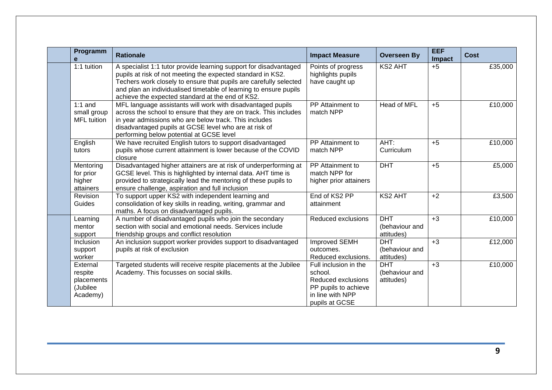| Programm<br>e                                             | <b>Rationale</b>                                                                                                                                                                                                                                                                                                               | <b>Impact Measure</b>                                                                                                | <b>Overseen By</b>                         | <b>EEF</b><br><b>Impact</b> | <b>Cost</b> |
|-----------------------------------------------------------|--------------------------------------------------------------------------------------------------------------------------------------------------------------------------------------------------------------------------------------------------------------------------------------------------------------------------------|----------------------------------------------------------------------------------------------------------------------|--------------------------------------------|-----------------------------|-------------|
| 1:1 tuition                                               | A specialist 1:1 tutor provide learning support for disadvantaged<br>pupils at risk of not meeting the expected standard in KS2.<br>Techers work closely to ensure that pupils are carefully selected<br>and plan an individualised timetable of learning to ensure pupils<br>achieve the expected standard at the end of KS2. | Points of progress<br>highlights pupils<br>have caught up                                                            | KS2 AHT                                    | $+5$                        | £35,000     |
| $1:1$ and<br>small group<br><b>MFL</b> tuition            | MFL language assistants will work with disadvantaged pupils<br>across the school to ensure that they are on track. This includes<br>in year admissions who are below track. This includes<br>disadvantaged pupils at GCSE level who are at risk of<br>performing below potential at GCSE level                                 | PP Attainment to<br>match NPP                                                                                        | Head of MFL                                | $+5$                        | £10,000     |
| English<br>tutors                                         | We have recruited English tutors to support disadvantaged<br>pupils whose current attainment is lower because of the COVID<br>closure                                                                                                                                                                                          | PP Attainment to<br>match NPP                                                                                        | AHT:<br>Curriculum                         | $+5$                        | £10,000     |
| Mentoring<br>for prior<br>higher<br>attainers             | Disadvantaged higher attainers are at risk of underperforming at<br>GCSE level. This is highlighted by internal data. AHT time is<br>provided to strategically lead the mentoring of these pupils to<br>ensure challenge, aspiration and full inclusion                                                                        | PP Attainment to<br>match NPP for<br>higher prior attainers                                                          | <b>DHT</b>                                 | $+5$                        | £5,000      |
| Revision<br>Guides                                        | To support upper KS2 with independent learning and<br>consolidation of key skills in reading, writing, grammar and<br>maths. A focus on disadvantaged pupils.                                                                                                                                                                  | End of KS2 PP<br>attainment                                                                                          | <b>KS2 AHT</b>                             | $+2$                        | £3,500      |
| Learning<br>mentor<br>support                             | A number of disadvantaged pupils who join the secondary<br>section with social and emotional needs. Services include<br>friendship groups and conflict resolution                                                                                                                                                              | Reduced exclusions                                                                                                   | <b>DHT</b><br>(behaviour and<br>attitudes) | $+3$                        | £10,000     |
| Inclusion<br>support<br>worker                            | An inclusion support worker provides support to disadvantaged<br>pupils at risk of exclusion                                                                                                                                                                                                                                   | Improved SEMH<br>outcomes.<br>Reduced exclusions                                                                     | <b>DHT</b><br>(behaviour and<br>attitudes) | $+3$                        | £12,000     |
| External<br>respite<br>placements<br>(Jubilee<br>Academy) | Targeted students will receive respite placements at the Jubilee<br>Academy. This focusses on social skills.                                                                                                                                                                                                                   | Full inclusion in the<br>school.<br>Reduced exclusions<br>PP pupils to achieve<br>in line with NPP<br>pupils at GCSE | <b>DHT</b><br>(behaviour and<br>attitudes) | $+3$                        | £10,000     |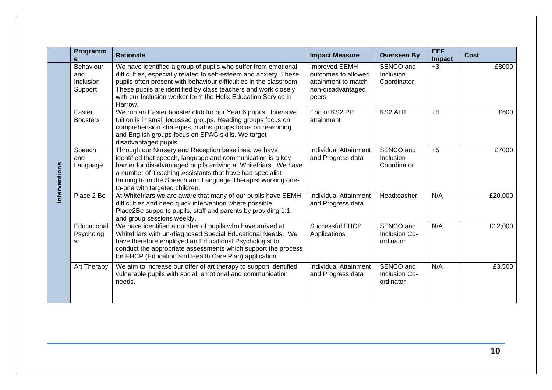|              | Programm                                 | <b>Rationale</b>                                                                                                                                                                                                                                                                                                                                         | <b>Impact Measure</b>                                                                            | <b>Overseen By</b>                      | <b>EEF</b><br>Impact | <b>Cost</b> |
|--------------|------------------------------------------|----------------------------------------------------------------------------------------------------------------------------------------------------------------------------------------------------------------------------------------------------------------------------------------------------------------------------------------------------------|--------------------------------------------------------------------------------------------------|-----------------------------------------|----------------------|-------------|
|              | Behaviour<br>and<br>Inclusion<br>Support | We have identified a group of pupils who suffer from emotional<br>difficulties, especially related to self-esteem and anxiety. These<br>pupils often present with behaviour difficulties in the classroom.<br>These pupils are identified by class teachers and work closely<br>with our Inclusion worker form the Helix Education Service in<br>Harrow. | <b>Improved SEMH</b><br>outcomes to allowed<br>attainment to match<br>non-disadvantaged<br>peers | SENCO and<br>Inclusion<br>Coordinator   | $+3$                 | £8000       |
|              | Easter<br><b>Boosters</b>                | We run an Easter booster club for our Year 6 pupils. Intensive<br>tuition is in small focussed groups. Reading groups focus on<br>comprehension strategies, maths groups focus on reasoning<br>and English groups focus on SPAG skills. We target<br>disadvantaged pupils                                                                                | End of KS2 PP<br>attainment                                                                      | <b>KS2 AHT</b>                          | $+4$                 | £600        |
| nterventions | Speech<br>and<br>Language                | Through our Nursery and Reception baselines, we have<br>identified that speech, language and communication is a key<br>barrier for disadvantaged pupils arriving at Whitefriars. We have<br>a number of Teaching Assistants that have had specialist<br>training from the Speech and Language Therapist working one-<br>to-one with targeted children.   | <b>Individual Attainment</b><br>and Progress data                                                | SENCO and<br>Inclusion<br>Coordinator   | $+5$                 | £7000       |
|              | Place 2 Be                               | At Whitefriars we are aware that many of our pupils have SEMH<br>difficulties and need quick intervention where possible.<br>Place2Be supports pupils, staff and parents by providing 1:1<br>and group sessions weekly.                                                                                                                                  | <b>Individual Attainment</b><br>and Progress data                                                | Headteacher                             | N/A                  | £20,000     |
|              | Educational<br>Psychologi<br>st          | We have identified a number of pupils who have arrived at<br>Whitefriars with un-diagnosed Special Educational Needs. We<br>have therefore employed an Educational Psychologist to<br>conduct the appropriate assessments which support the process<br>for EHCP (Education and Health Care Plan) application.                                            | <b>Successful EHCP</b><br>Applications                                                           | SENCO and<br>Inclusion Co-<br>ordinator | N/A                  | £12,000     |
|              | Art Therapy                              | We aim to increase our offer of art therapy to support identified<br>vulnerable pupils with social, emotional and communication<br>needs.                                                                                                                                                                                                                | Individual Attainment<br>and Progress data                                                       | SENCO and<br>Inclusion Co-<br>ordinator | N/A                  | £3,500      |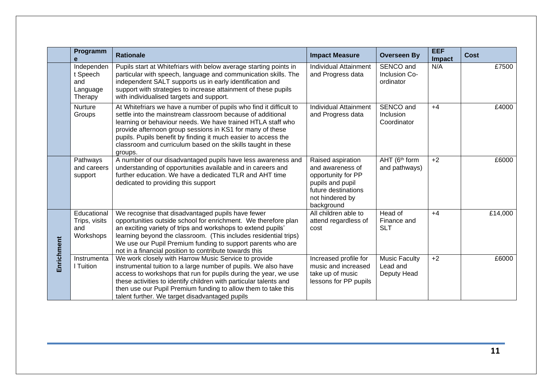|            | Programm                                             | <b>Rationale</b>                                                                                                                                                                                                                                                                                                                                                                                          | <b>Impact Measure</b>                                                                                                                   | <b>Overseen By</b>                              | <b>EEF</b><br>Impact | <b>Cost</b> |
|------------|------------------------------------------------------|-----------------------------------------------------------------------------------------------------------------------------------------------------------------------------------------------------------------------------------------------------------------------------------------------------------------------------------------------------------------------------------------------------------|-----------------------------------------------------------------------------------------------------------------------------------------|-------------------------------------------------|----------------------|-------------|
|            | Independen<br>t Speech<br>and<br>Language<br>Therapy | Pupils start at Whitefriars with below average starting points in<br>particular with speech, language and communication skills. The<br>independent SALT supports us in early identification and<br>support with strategies to increase attainment of these pupils<br>with individualised targets and support.                                                                                             | <b>Individual Attainment</b><br>and Progress data                                                                                       | SENCO and<br>Inclusion Co-<br>ordinator         | N/A                  | £7500       |
|            | <b>Nurture</b><br>Groups                             | At Whitefriars we have a number of pupils who find it difficult to<br>settle into the mainstream classroom because of additional<br>learning or behaviour needs. We have trained HTLA staff who<br>provide afternoon group sessions in KS1 for many of these<br>pupils. Pupils benefit by finding it much easier to access the<br>classroom and curriculum based on the skills taught in these<br>groups. | <b>Individual Attainment</b><br>and Progress data                                                                                       | SENCO and<br>Inclusion<br>Coordinator           | $+4$                 | £4000       |
|            | <b>Pathways</b><br>and careers<br>support            | A number of our disadvantaged pupils have less awareness and<br>understanding of opportunities available and in careers and<br>further education. We have a dedicated TLR and AHT time<br>dedicated to providing this support                                                                                                                                                                             | Raised aspiration<br>and awareness of<br>opportunity for PP<br>pupils and pupil<br>future destinations<br>not hindered by<br>background | AHT (6th form<br>and pathways)                  | $+2$                 | £6000       |
| Enrichment | Educational<br>Trips, visits<br>and<br>Workshops     | We recognise that disadvantaged pupils have fewer<br>opportunities outside school for enrichment. We therefore plan<br>an exciting variety of trips and workshops to extend pupils'<br>learning beyond the classroom. (This includes residential trips)<br>We use our Pupil Premium funding to support parents who are<br>not in a financial position to contribute towards this                          | All children able to<br>attend regardless of<br>cost                                                                                    | Head of<br>Finance and<br><b>SLT</b>            | $+4$                 | £14,000     |
|            | Instrumenta<br>I Tuition                             | We work closely with Harrow Music Service to provide<br>instrumental tuition to a large number of pupils. We also have<br>access to workshops that run for pupils during the year, we use<br>these activities to identify children with particular talents and<br>then use our Pupil Premium funding to allow them to take this<br>talent further. We target disadvantaged pupils                         | Increased profile for<br>music and increased<br>take up of music<br>lessons for PP pupils                                               | <b>Music Faculty</b><br>Lead and<br>Deputy Head | $+2$                 | £6000       |